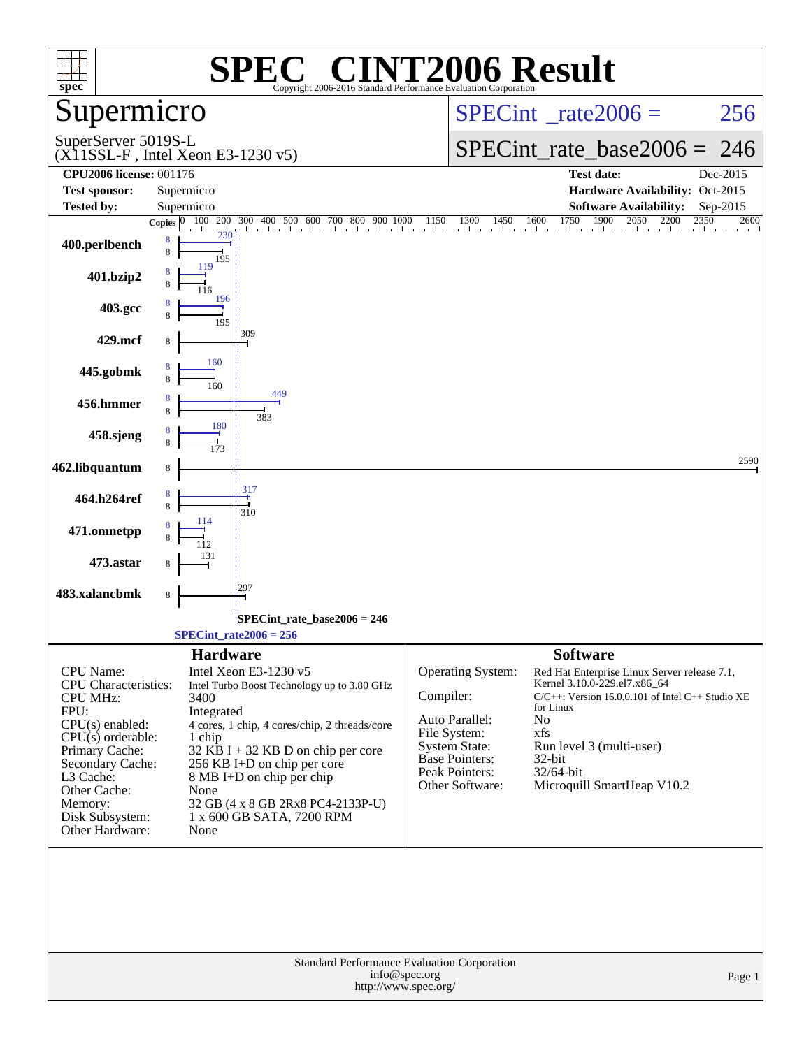| $spec^*$                                                                                                                                                                                                                          | $\blacksquare$<br>SPEO<br>Copyright 2006-2016 Standard Performance Evaluation Corporation                                                                                                                                                                                                                                                                      | <b>INT2006 Result</b>                                                                                                                           |                                                                                                                                                                                                                                                                     |
|-----------------------------------------------------------------------------------------------------------------------------------------------------------------------------------------------------------------------------------|----------------------------------------------------------------------------------------------------------------------------------------------------------------------------------------------------------------------------------------------------------------------------------------------------------------------------------------------------------------|-------------------------------------------------------------------------------------------------------------------------------------------------|---------------------------------------------------------------------------------------------------------------------------------------------------------------------------------------------------------------------------------------------------------------------|
| Supermicro                                                                                                                                                                                                                        |                                                                                                                                                                                                                                                                                                                                                                |                                                                                                                                                 | $SPECint^{\circ}$ <sub>_rate2006</sub> =<br>256                                                                                                                                                                                                                     |
| SuperServer 5019S-L                                                                                                                                                                                                               | $(X11SSL-F$ , Intel Xeon E3-1230 v5)                                                                                                                                                                                                                                                                                                                           |                                                                                                                                                 | $SPECint_rate_base2006 =$<br>246                                                                                                                                                                                                                                    |
| <b>CPU2006 license: 001176</b>                                                                                                                                                                                                    |                                                                                                                                                                                                                                                                                                                                                                |                                                                                                                                                 | <b>Test date:</b><br>Dec-2015                                                                                                                                                                                                                                       |
| <b>Test sponsor:</b>                                                                                                                                                                                                              | Supermicro                                                                                                                                                                                                                                                                                                                                                     |                                                                                                                                                 | Hardware Availability: Oct-2015                                                                                                                                                                                                                                     |
| <b>Tested by:</b>                                                                                                                                                                                                                 | Supermicro                                                                                                                                                                                                                                                                                                                                                     |                                                                                                                                                 | <b>Software Availability:</b><br>Sep-2015<br>2600                                                                                                                                                                                                                   |
| 400.perlbench                                                                                                                                                                                                                     | Copies $\begin{bmatrix} 0 & 100 & 200 & 300 & 400 & 500 & 600 & 700 & 800 & 900 & 1000 & 1150 & 1300 & 1450 & 1600 & 1750 & 1900 & 2050 & 2200 & 2350 \end{bmatrix}$<br>8<br>8<br>195<br>119                                                                                                                                                                   |                                                                                                                                                 |                                                                                                                                                                                                                                                                     |
| 401.bzip2                                                                                                                                                                                                                         | 196                                                                                                                                                                                                                                                                                                                                                            |                                                                                                                                                 |                                                                                                                                                                                                                                                                     |
| 403.gcc                                                                                                                                                                                                                           | 195                                                                                                                                                                                                                                                                                                                                                            |                                                                                                                                                 |                                                                                                                                                                                                                                                                     |
| 429.mcf                                                                                                                                                                                                                           | 309                                                                                                                                                                                                                                                                                                                                                            |                                                                                                                                                 |                                                                                                                                                                                                                                                                     |
| 445.gobmk                                                                                                                                                                                                                         | 160<br>160<br>449                                                                                                                                                                                                                                                                                                                                              |                                                                                                                                                 |                                                                                                                                                                                                                                                                     |
| 456.hmmer                                                                                                                                                                                                                         | 383<br>180                                                                                                                                                                                                                                                                                                                                                     |                                                                                                                                                 |                                                                                                                                                                                                                                                                     |
| 458.sjeng                                                                                                                                                                                                                         |                                                                                                                                                                                                                                                                                                                                                                |                                                                                                                                                 |                                                                                                                                                                                                                                                                     |
| 462.libquantum                                                                                                                                                                                                                    | 8<br>317                                                                                                                                                                                                                                                                                                                                                       |                                                                                                                                                 | 2590                                                                                                                                                                                                                                                                |
| 464.h264ref                                                                                                                                                                                                                       | 310                                                                                                                                                                                                                                                                                                                                                            |                                                                                                                                                 |                                                                                                                                                                                                                                                                     |
| 471.omnetpp                                                                                                                                                                                                                       |                                                                                                                                                                                                                                                                                                                                                                |                                                                                                                                                 |                                                                                                                                                                                                                                                                     |
| 473.astar                                                                                                                                                                                                                         | 297                                                                                                                                                                                                                                                                                                                                                            |                                                                                                                                                 |                                                                                                                                                                                                                                                                     |
| 483.xalancbmk                                                                                                                                                                                                                     | 8                                                                                                                                                                                                                                                                                                                                                              |                                                                                                                                                 |                                                                                                                                                                                                                                                                     |
|                                                                                                                                                                                                                                   | $SPECint$ rate_base2006 = 246<br>$SPECint_rate2006 = 256$                                                                                                                                                                                                                                                                                                      |                                                                                                                                                 |                                                                                                                                                                                                                                                                     |
| CPU Name:<br><b>CPU</b> Characteristics:<br><b>CPU MHz:</b><br>FPU:<br>CPU(s) enabled:<br>$CPU(s)$ orderable:<br>Primary Cache:<br>Secondary Cache:<br>L3 Cache:<br>Other Cache:<br>Memory:<br>Disk Subsystem:<br>Other Hardware: | <b>Hardware</b><br>Intel Xeon E3-1230 v5<br>Intel Turbo Boost Technology up to 3.80 GHz<br>3400<br>Integrated<br>4 cores, 1 chip, 4 cores/chip, 2 threads/core<br>1 chip<br>$32$ KB I + 32 KB D on chip per core<br>256 KB I+D on chip per core<br>8 MB I+D on chip per chip<br>None<br>32 GB (4 x 8 GB 2Rx8 PC4-2133P-U)<br>1 x 600 GB SATA, 7200 RPM<br>None | Operating System:<br>Compiler:<br>Auto Parallel:<br>File System:<br><b>System State:</b><br>Base Pointers:<br>Peak Pointers:<br>Other Software: | <b>Software</b><br>Red Hat Enterprise Linux Server release 7.1,<br>Kernel 3.10.0-229.el7.x86_64<br>$C/C++$ : Version 16.0.0.101 of Intel $C++$ Studio XE<br>for Linux<br>No<br>xfs<br>Run level 3 (multi-user)<br>32-bit<br>32/64-bit<br>Microquill SmartHeap V10.2 |
|                                                                                                                                                                                                                                   | Standard Performance Evaluation Corporation<br>info@spec.org<br>http://www.spec.org/                                                                                                                                                                                                                                                                           |                                                                                                                                                 | Page 1                                                                                                                                                                                                                                                              |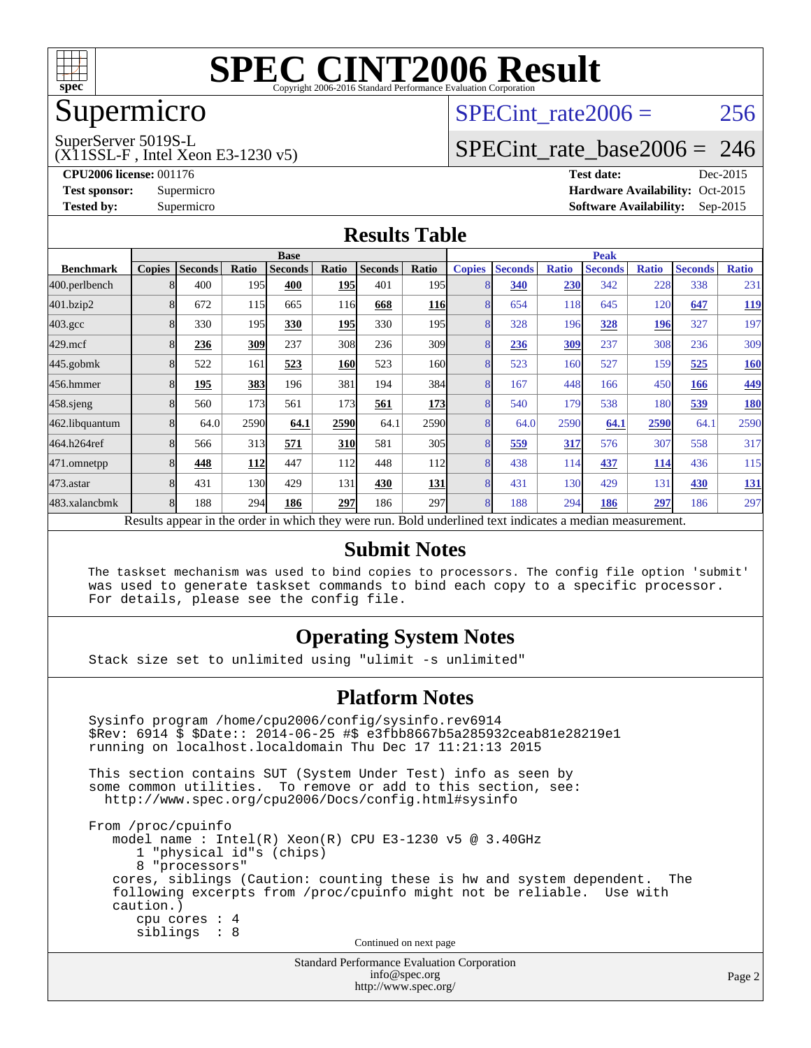

### Supermicro

## SPECint rate  $2006 = 256$

SuperServer 5019S-L

(X11SSL-F , Intel Xeon E3-1230 v5)

[SPECint\\_rate\\_base2006 =](http://www.spec.org/auto/cpu2006/Docs/result-fields.html#SPECintratebase2006) 246

**[CPU2006 license:](http://www.spec.org/auto/cpu2006/Docs/result-fields.html#CPU2006license)** 001176 **[Test date:](http://www.spec.org/auto/cpu2006/Docs/result-fields.html#Testdate)** Dec-2015 **[Test sponsor:](http://www.spec.org/auto/cpu2006/Docs/result-fields.html#Testsponsor)** Supermicro Supermicro **[Hardware Availability:](http://www.spec.org/auto/cpu2006/Docs/result-fields.html#HardwareAvailability)** Oct-2015 **[Tested by:](http://www.spec.org/auto/cpu2006/Docs/result-fields.html#Testedby)** Supermicro **Supermicro [Software Availability:](http://www.spec.org/auto/cpu2006/Docs/result-fields.html#SoftwareAvailability)** Sep-2015

#### **[Results Table](http://www.spec.org/auto/cpu2006/Docs/result-fields.html#ResultsTable)**

|                                                                                                          | <b>Base</b>   |                |       |                |            | <b>Peak</b>    |                  |                |                |              |                |              |                |              |
|----------------------------------------------------------------------------------------------------------|---------------|----------------|-------|----------------|------------|----------------|------------------|----------------|----------------|--------------|----------------|--------------|----------------|--------------|
| <b>Benchmark</b>                                                                                         | <b>Copies</b> | <b>Seconds</b> | Ratio | <b>Seconds</b> | Ratio      | <b>Seconds</b> | Ratio            | <b>Copies</b>  | <b>Seconds</b> | <b>Ratio</b> | <b>Seconds</b> | <b>Ratio</b> | <b>Seconds</b> | <b>Ratio</b> |
| 400.perlbench                                                                                            |               | 400            | 195   | 400            | 195        | 401            | 195 <sub>l</sub> |                | 340            | 230          | 342            | 228          | 338            | 231          |
| 401.bzip2                                                                                                |               | 672            | 115   | 665            | 116        | 668            | <b>116</b>       |                | 654            | 118          | 645            | 120          | 647            | <u>119</u>   |
| $403.\mathrm{gcc}$                                                                                       |               | 330            | 195   | 330            | 195        | 330            | 195 <sub>l</sub> |                | 328            | 196          | 328            | 196          | 327            | 197          |
| $429$ .mcf                                                                                               |               | 236            | 309   | 237            | 308        | 236            | 309              | 8              | 236            | 309          | 237            | 308          | 236            | 309          |
| $445$ .gobm $k$                                                                                          | 8             | 522            | 161   | 523            | <b>160</b> | 523            | 160l             | $\overline{8}$ | 523            | 160          | 527            | 159          | 525            | 160          |
| 456.hmmer                                                                                                |               | 195            | 383   | 196            | 381        | 194            | 384              | 8              | 167            | 448          | 166            | 450          | 166            | 449          |
| $458$ .sjeng                                                                                             |               | 560            | 173   | 561            | 173        | 561            | 173              |                | 540            | 179          | 538            | 180          | 539            | <u>180</u>   |
| 462.libquantum                                                                                           |               | 64.0           | 2590  | 64.1           | 2590       | 64.1           | 2590             | 8              | 64.0           | 2590         | 64.1           | 2590         | 64.1           | 2590         |
| 464.h264ref                                                                                              |               | 566            | 313   | 571            | <b>310</b> | 581            | 305              | $\overline{8}$ | 559            | 317          | 576            | 307          | 558            | 317          |
| 471.omnetpp                                                                                              |               | 448            | 112   | 447            | 112        | 448            | 112              |                | 438            | 114          | 437            | 114          | 436            | 115          |
| $473$ . astar                                                                                            | 8             | 431            | 130   | 429            | 131        | 430            | 131              | 8              | 431            | 130          | 429            | 131          | 430            | <u>131</u>   |
| 483.xalancbmk                                                                                            | 8             | 188            | 294   | 186            | 297        | 186            | 297              | 8              | 188            | 294          | 186            | 297          | 186            | 297          |
| Results appear in the order in which they were run. Bold underlined text indicates a median measurement. |               |                |       |                |            |                |                  |                |                |              |                |              |                |              |

#### **[Submit Notes](http://www.spec.org/auto/cpu2006/Docs/result-fields.html#SubmitNotes)**

 The taskset mechanism was used to bind copies to processors. The config file option 'submit' was used to generate taskset commands to bind each copy to a specific processor. For details, please see the config file.

#### **[Operating System Notes](http://www.spec.org/auto/cpu2006/Docs/result-fields.html#OperatingSystemNotes)**

Stack size set to unlimited using "ulimit -s unlimited"

#### **[Platform Notes](http://www.spec.org/auto/cpu2006/Docs/result-fields.html#PlatformNotes)**

Standard Performance Evaluation Corporation Sysinfo program /home/cpu2006/config/sysinfo.rev6914 \$Rev: 6914 \$ \$Date:: 2014-06-25 #\$ e3fbb8667b5a285932ceab81e28219e1 running on localhost.localdomain Thu Dec 17 11:21:13 2015 This section contains SUT (System Under Test) info as seen by some common utilities. To remove or add to this section, see: <http://www.spec.org/cpu2006/Docs/config.html#sysinfo> From /proc/cpuinfo model name : Intel(R) Xeon(R) CPU E3-1230 v5 @ 3.40GHz 1 "physical id"s (chips) 8 "processors" cores, siblings (Caution: counting these is hw and system dependent. The following excerpts from /proc/cpuinfo might not be reliable. Use with caution.) cpu cores : 4 siblings : 8 Continued on next page

[info@spec.org](mailto:info@spec.org) <http://www.spec.org/>

Page 2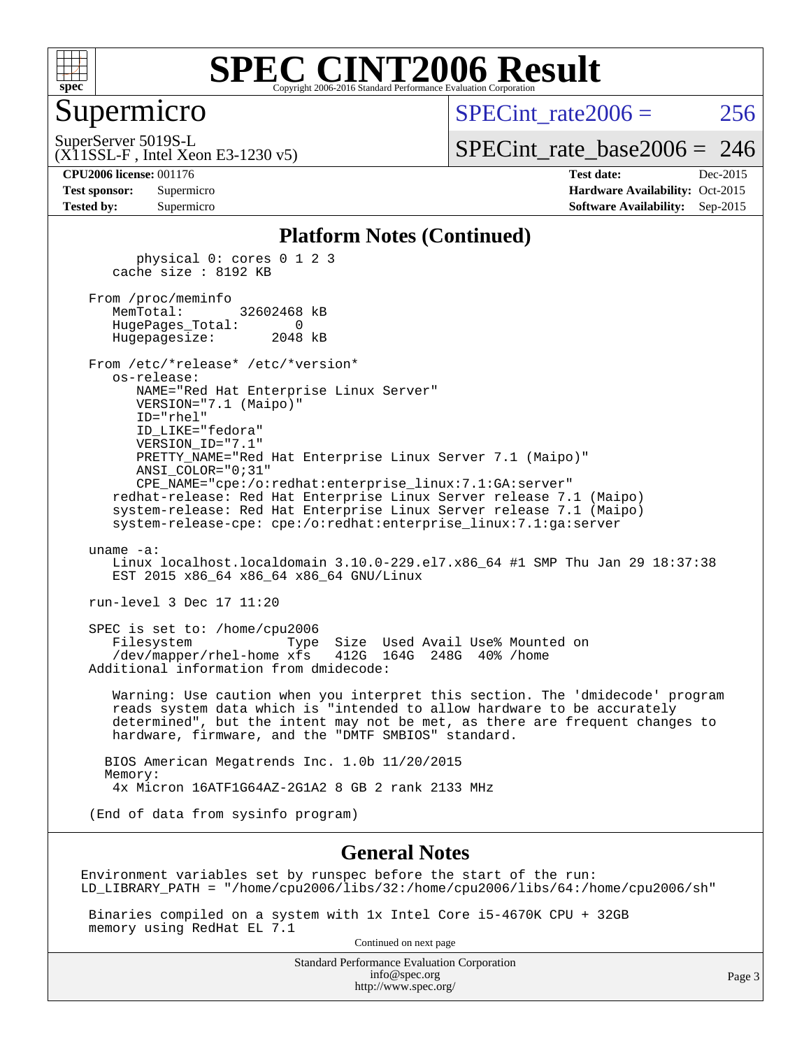

#### Supermicro

SPECint rate  $2006 = 256$ 

(X11SSL-F , Intel Xeon E3-1230 v5) SuperServer 5019S-L

[SPECint\\_rate\\_base2006 =](http://www.spec.org/auto/cpu2006/Docs/result-fields.html#SPECintratebase2006) 246

**[CPU2006 license:](http://www.spec.org/auto/cpu2006/Docs/result-fields.html#CPU2006license)** 001176 **[Test date:](http://www.spec.org/auto/cpu2006/Docs/result-fields.html#Testdate)** Dec-2015 **[Test sponsor:](http://www.spec.org/auto/cpu2006/Docs/result-fields.html#Testsponsor)** Supermicro Supermicro **[Hardware Availability:](http://www.spec.org/auto/cpu2006/Docs/result-fields.html#HardwareAvailability)** Oct-2015 **[Tested by:](http://www.spec.org/auto/cpu2006/Docs/result-fields.html#Testedby)** Supermicro **Supermicro [Software Availability:](http://www.spec.org/auto/cpu2006/Docs/result-fields.html#SoftwareAvailability)** Sep-2015

#### **[Platform Notes \(Continued\)](http://www.spec.org/auto/cpu2006/Docs/result-fields.html#PlatformNotes)**

 physical 0: cores 0 1 2 3 cache size : 8192 KB

 From /proc/meminfo MemTotal: 32602468 kB HugePages\_Total: 0 Hugepagesize: 2048 kB

 From /etc/\*release\* /etc/\*version\* os-release: NAME="Red Hat Enterprise Linux Server" VERSION="7.1 (Maipo)"

 ID="rhel" ID\_LIKE="fedora" VERSION\_ID="7.1" PRETTY\_NAME="Red Hat Enterprise Linux Server 7.1 (Maipo)" ANSI\_COLOR="0;31" CPE\_NAME="cpe:/o:redhat:enterprise\_linux:7.1:GA:server"

 redhat-release: Red Hat Enterprise Linux Server release 7.1 (Maipo) system-release: Red Hat Enterprise Linux Server release 7.1 (Maipo) system-release-cpe: cpe:/o:redhat:enterprise\_linux:7.1:ga:server

uname -a:

 Linux localhost.localdomain 3.10.0-229.el7.x86\_64 #1 SMP Thu Jan 29 18:37:38 EST 2015 x86 64 x86 64 x86 64 GNU/Linux

run-level 3 Dec 17 11:20

 SPEC is set to: /home/cpu2006 Filesystem Type Size Used Avail Use% Mounted on /dev/mapper/rhel-home xfs 412G 164G 248G 40% /home Additional information from dmidecode:

 Warning: Use caution when you interpret this section. The 'dmidecode' program reads system data which is "intended to allow hardware to be accurately determined", but the intent may not be met, as there are frequent changes to hardware, firmware, and the "DMTF SMBIOS" standard.

 BIOS American Megatrends Inc. 1.0b 11/20/2015 Memory: 4x Micron 16ATF1G64AZ-2G1A2 8 GB 2 rank 2133 MHz

(End of data from sysinfo program)

#### **[General Notes](http://www.spec.org/auto/cpu2006/Docs/result-fields.html#GeneralNotes)**

Environment variables set by runspec before the start of the run: LD\_LIBRARY\_PATH = "/home/cpu2006/libs/32:/home/cpu2006/libs/64:/home/cpu2006/sh"

 Binaries compiled on a system with 1x Intel Core i5-4670K CPU + 32GB memory using RedHat EL 7.1

Continued on next page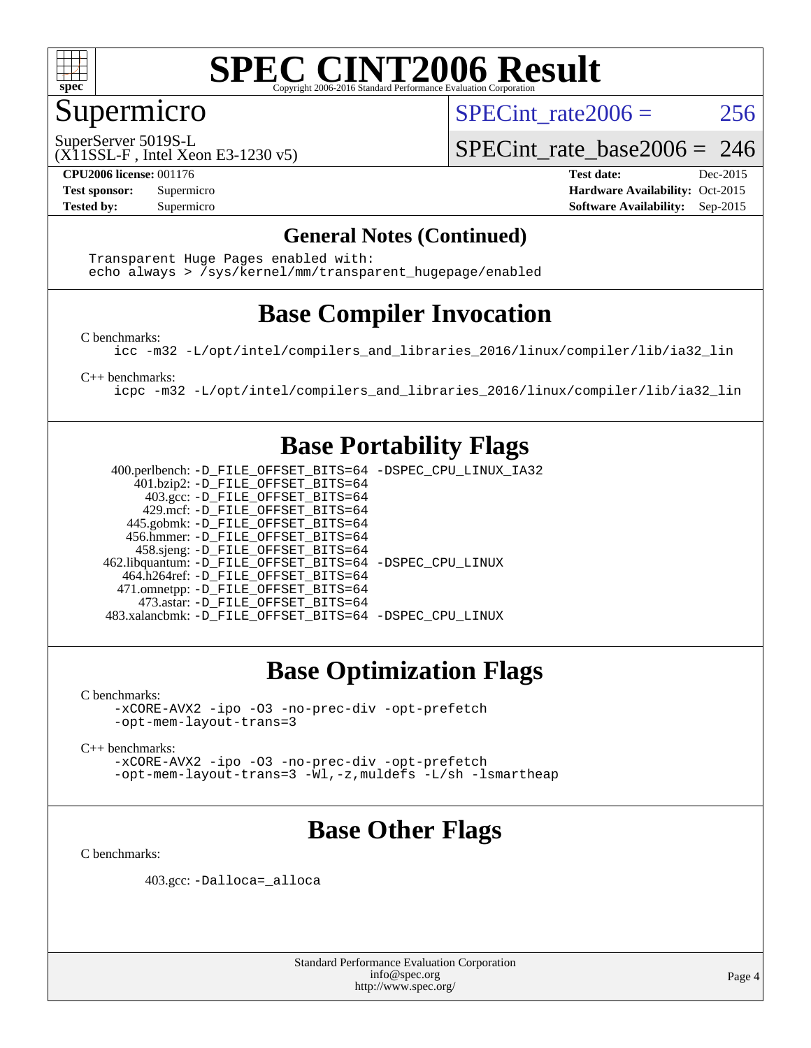

#### Supermicro

SPECint rate  $2006 = 256$ 

SuperServer 5019S-L

SPECint rate base  $2006 = 246$ 

(X11SSL-F , Intel Xeon E3-1230 v5)

**[CPU2006 license:](http://www.spec.org/auto/cpu2006/Docs/result-fields.html#CPU2006license)** 001176 **[Test date:](http://www.spec.org/auto/cpu2006/Docs/result-fields.html#Testdate)** Dec-2015 **[Test sponsor:](http://www.spec.org/auto/cpu2006/Docs/result-fields.html#Testsponsor)** Supermicro Supermicro **[Hardware Availability:](http://www.spec.org/auto/cpu2006/Docs/result-fields.html#HardwareAvailability)** Oct-2015 **[Tested by:](http://www.spec.org/auto/cpu2006/Docs/result-fields.html#Testedby)** Supermicro **Supermicro [Software Availability:](http://www.spec.org/auto/cpu2006/Docs/result-fields.html#SoftwareAvailability)** Sep-2015

#### **[General Notes \(Continued\)](http://www.spec.org/auto/cpu2006/Docs/result-fields.html#GeneralNotes)**

 Transparent Huge Pages enabled with: echo always > /sys/kernel/mm/transparent\_hugepage/enabled

### **[Base Compiler Invocation](http://www.spec.org/auto/cpu2006/Docs/result-fields.html#BaseCompilerInvocation)**

[C benchmarks](http://www.spec.org/auto/cpu2006/Docs/result-fields.html#Cbenchmarks):

[icc -m32 -L/opt/intel/compilers\\_and\\_libraries\\_2016/linux/compiler/lib/ia32\\_lin](http://www.spec.org/cpu2006/results/res2016q1/cpu2006-20151223-38515.flags.html#user_CCbase_intel_icc_e10256ba5924b668798078a321b0cb3f)

[C++ benchmarks:](http://www.spec.org/auto/cpu2006/Docs/result-fields.html#CXXbenchmarks)

[icpc -m32 -L/opt/intel/compilers\\_and\\_libraries\\_2016/linux/compiler/lib/ia32\\_lin](http://www.spec.org/cpu2006/results/res2016q1/cpu2006-20151223-38515.flags.html#user_CXXbase_intel_icpc_b4f50a394bdb4597aa5879c16bc3f5c5)

#### **[Base Portability Flags](http://www.spec.org/auto/cpu2006/Docs/result-fields.html#BasePortabilityFlags)**

 400.perlbench: [-D\\_FILE\\_OFFSET\\_BITS=64](http://www.spec.org/cpu2006/results/res2016q1/cpu2006-20151223-38515.flags.html#user_basePORTABILITY400_perlbench_file_offset_bits_64_438cf9856305ebd76870a2c6dc2689ab) [-DSPEC\\_CPU\\_LINUX\\_IA32](http://www.spec.org/cpu2006/results/res2016q1/cpu2006-20151223-38515.flags.html#b400.perlbench_baseCPORTABILITY_DSPEC_CPU_LINUX_IA32) 401.bzip2: [-D\\_FILE\\_OFFSET\\_BITS=64](http://www.spec.org/cpu2006/results/res2016q1/cpu2006-20151223-38515.flags.html#user_basePORTABILITY401_bzip2_file_offset_bits_64_438cf9856305ebd76870a2c6dc2689ab) 403.gcc: [-D\\_FILE\\_OFFSET\\_BITS=64](http://www.spec.org/cpu2006/results/res2016q1/cpu2006-20151223-38515.flags.html#user_basePORTABILITY403_gcc_file_offset_bits_64_438cf9856305ebd76870a2c6dc2689ab) 429.mcf: [-D\\_FILE\\_OFFSET\\_BITS=64](http://www.spec.org/cpu2006/results/res2016q1/cpu2006-20151223-38515.flags.html#user_basePORTABILITY429_mcf_file_offset_bits_64_438cf9856305ebd76870a2c6dc2689ab) 445.gobmk: [-D\\_FILE\\_OFFSET\\_BITS=64](http://www.spec.org/cpu2006/results/res2016q1/cpu2006-20151223-38515.flags.html#user_basePORTABILITY445_gobmk_file_offset_bits_64_438cf9856305ebd76870a2c6dc2689ab) 456.hmmer: [-D\\_FILE\\_OFFSET\\_BITS=64](http://www.spec.org/cpu2006/results/res2016q1/cpu2006-20151223-38515.flags.html#user_basePORTABILITY456_hmmer_file_offset_bits_64_438cf9856305ebd76870a2c6dc2689ab) 458.sjeng: [-D\\_FILE\\_OFFSET\\_BITS=64](http://www.spec.org/cpu2006/results/res2016q1/cpu2006-20151223-38515.flags.html#user_basePORTABILITY458_sjeng_file_offset_bits_64_438cf9856305ebd76870a2c6dc2689ab) 462.libquantum: [-D\\_FILE\\_OFFSET\\_BITS=64](http://www.spec.org/cpu2006/results/res2016q1/cpu2006-20151223-38515.flags.html#user_basePORTABILITY462_libquantum_file_offset_bits_64_438cf9856305ebd76870a2c6dc2689ab) [-DSPEC\\_CPU\\_LINUX](http://www.spec.org/cpu2006/results/res2016q1/cpu2006-20151223-38515.flags.html#b462.libquantum_baseCPORTABILITY_DSPEC_CPU_LINUX) 464.h264ref: [-D\\_FILE\\_OFFSET\\_BITS=64](http://www.spec.org/cpu2006/results/res2016q1/cpu2006-20151223-38515.flags.html#user_basePORTABILITY464_h264ref_file_offset_bits_64_438cf9856305ebd76870a2c6dc2689ab) 471.omnetpp: [-D\\_FILE\\_OFFSET\\_BITS=64](http://www.spec.org/cpu2006/results/res2016q1/cpu2006-20151223-38515.flags.html#user_basePORTABILITY471_omnetpp_file_offset_bits_64_438cf9856305ebd76870a2c6dc2689ab) 473.astar: [-D\\_FILE\\_OFFSET\\_BITS=64](http://www.spec.org/cpu2006/results/res2016q1/cpu2006-20151223-38515.flags.html#user_basePORTABILITY473_astar_file_offset_bits_64_438cf9856305ebd76870a2c6dc2689ab) 483.xalancbmk: [-D\\_FILE\\_OFFSET\\_BITS=64](http://www.spec.org/cpu2006/results/res2016q1/cpu2006-20151223-38515.flags.html#user_basePORTABILITY483_xalancbmk_file_offset_bits_64_438cf9856305ebd76870a2c6dc2689ab) [-DSPEC\\_CPU\\_LINUX](http://www.spec.org/cpu2006/results/res2016q1/cpu2006-20151223-38515.flags.html#b483.xalancbmk_baseCXXPORTABILITY_DSPEC_CPU_LINUX)

### **[Base Optimization Flags](http://www.spec.org/auto/cpu2006/Docs/result-fields.html#BaseOptimizationFlags)**

[C benchmarks](http://www.spec.org/auto/cpu2006/Docs/result-fields.html#Cbenchmarks):

[-xCORE-AVX2](http://www.spec.org/cpu2006/results/res2016q1/cpu2006-20151223-38515.flags.html#user_CCbase_f-xAVX2_5f5fc0cbe2c9f62c816d3e45806c70d7) [-ipo](http://www.spec.org/cpu2006/results/res2016q1/cpu2006-20151223-38515.flags.html#user_CCbase_f-ipo) [-O3](http://www.spec.org/cpu2006/results/res2016q1/cpu2006-20151223-38515.flags.html#user_CCbase_f-O3) [-no-prec-div](http://www.spec.org/cpu2006/results/res2016q1/cpu2006-20151223-38515.flags.html#user_CCbase_f-no-prec-div) [-opt-prefetch](http://www.spec.org/cpu2006/results/res2016q1/cpu2006-20151223-38515.flags.html#user_CCbase_f-opt-prefetch) [-opt-mem-layout-trans=3](http://www.spec.org/cpu2006/results/res2016q1/cpu2006-20151223-38515.flags.html#user_CCbase_f-opt-mem-layout-trans_a7b82ad4bd7abf52556d4961a2ae94d5)

[C++ benchmarks:](http://www.spec.org/auto/cpu2006/Docs/result-fields.html#CXXbenchmarks)

[-xCORE-AVX2](http://www.spec.org/cpu2006/results/res2016q1/cpu2006-20151223-38515.flags.html#user_CXXbase_f-xAVX2_5f5fc0cbe2c9f62c816d3e45806c70d7) [-ipo](http://www.spec.org/cpu2006/results/res2016q1/cpu2006-20151223-38515.flags.html#user_CXXbase_f-ipo) [-O3](http://www.spec.org/cpu2006/results/res2016q1/cpu2006-20151223-38515.flags.html#user_CXXbase_f-O3) [-no-prec-div](http://www.spec.org/cpu2006/results/res2016q1/cpu2006-20151223-38515.flags.html#user_CXXbase_f-no-prec-div) [-opt-prefetch](http://www.spec.org/cpu2006/results/res2016q1/cpu2006-20151223-38515.flags.html#user_CXXbase_f-opt-prefetch) [-opt-mem-layout-trans=3](http://www.spec.org/cpu2006/results/res2016q1/cpu2006-20151223-38515.flags.html#user_CXXbase_f-opt-mem-layout-trans_a7b82ad4bd7abf52556d4961a2ae94d5) [-Wl,-z,muldefs](http://www.spec.org/cpu2006/results/res2016q1/cpu2006-20151223-38515.flags.html#user_CXXbase_link_force_multiple1_74079c344b956b9658436fd1b6dd3a8a) [-L/sh -lsmartheap](http://www.spec.org/cpu2006/results/res2016q1/cpu2006-20151223-38515.flags.html#user_CXXbase_SmartHeap_32f6c82aa1ed9c52345d30cf6e4a0499)

### **[Base Other Flags](http://www.spec.org/auto/cpu2006/Docs/result-fields.html#BaseOtherFlags)**

[C benchmarks](http://www.spec.org/auto/cpu2006/Docs/result-fields.html#Cbenchmarks):

403.gcc: [-Dalloca=\\_alloca](http://www.spec.org/cpu2006/results/res2016q1/cpu2006-20151223-38515.flags.html#b403.gcc_baseEXTRA_CFLAGS_Dalloca_be3056838c12de2578596ca5467af7f3)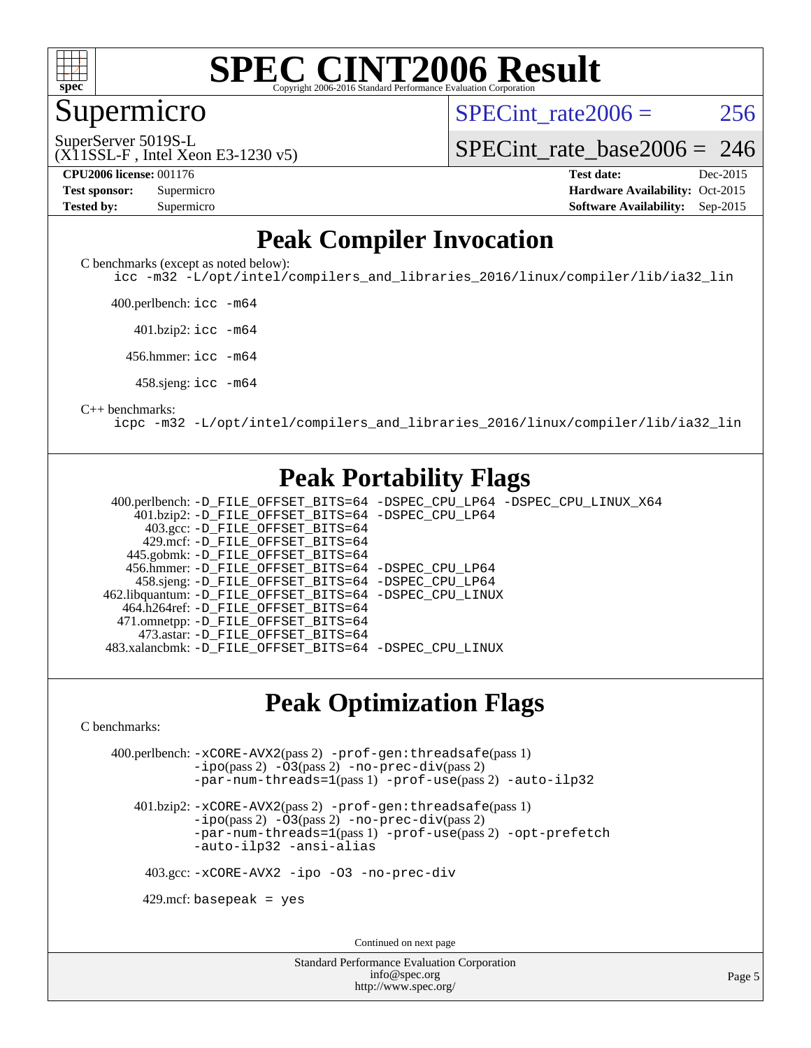

Supermicro

SPECint rate $2006 = 256$ 

(X11SSL-F , Intel Xeon E3-1230 v5) SuperServer 5019S-L

[SPECint\\_rate\\_base2006 =](http://www.spec.org/auto/cpu2006/Docs/result-fields.html#SPECintratebase2006) 246

| <b>Test sponsor:</b> | Supermicro |  |  |  |
|----------------------|------------|--|--|--|
| Tested by:           | Supermicro |  |  |  |

**[CPU2006 license:](http://www.spec.org/auto/cpu2006/Docs/result-fields.html#CPU2006license)** 001176 **[Test date:](http://www.spec.org/auto/cpu2006/Docs/result-fields.html#Testdate)** Dec-2015 **[Hardware Availability:](http://www.spec.org/auto/cpu2006/Docs/result-fields.html#HardwareAvailability)** Oct-2015 **[Software Availability:](http://www.spec.org/auto/cpu2006/Docs/result-fields.html#SoftwareAvailability)** Sep-2015

#### **[Peak Compiler Invocation](http://www.spec.org/auto/cpu2006/Docs/result-fields.html#PeakCompilerInvocation)**

[C benchmarks \(except as noted below\)](http://www.spec.org/auto/cpu2006/Docs/result-fields.html#Cbenchmarksexceptasnotedbelow):

[icc -m32 -L/opt/intel/compilers\\_and\\_libraries\\_2016/linux/compiler/lib/ia32\\_lin](http://www.spec.org/cpu2006/results/res2016q1/cpu2006-20151223-38515.flags.html#user_CCpeak_intel_icc_e10256ba5924b668798078a321b0cb3f)

400.perlbench: [icc -m64](http://www.spec.org/cpu2006/results/res2016q1/cpu2006-20151223-38515.flags.html#user_peakCCLD400_perlbench_intel_icc_64bit_bda6cc9af1fdbb0edc3795bac97ada53)

401.bzip2: [icc -m64](http://www.spec.org/cpu2006/results/res2016q1/cpu2006-20151223-38515.flags.html#user_peakCCLD401_bzip2_intel_icc_64bit_bda6cc9af1fdbb0edc3795bac97ada53)

456.hmmer: [icc -m64](http://www.spec.org/cpu2006/results/res2016q1/cpu2006-20151223-38515.flags.html#user_peakCCLD456_hmmer_intel_icc_64bit_bda6cc9af1fdbb0edc3795bac97ada53)

458.sjeng: [icc -m64](http://www.spec.org/cpu2006/results/res2016q1/cpu2006-20151223-38515.flags.html#user_peakCCLD458_sjeng_intel_icc_64bit_bda6cc9af1fdbb0edc3795bac97ada53)

#### [C++ benchmarks:](http://www.spec.org/auto/cpu2006/Docs/result-fields.html#CXXbenchmarks)

[icpc -m32 -L/opt/intel/compilers\\_and\\_libraries\\_2016/linux/compiler/lib/ia32\\_lin](http://www.spec.org/cpu2006/results/res2016q1/cpu2006-20151223-38515.flags.html#user_CXXpeak_intel_icpc_b4f50a394bdb4597aa5879c16bc3f5c5)

#### **[Peak Portability Flags](http://www.spec.org/auto/cpu2006/Docs/result-fields.html#PeakPortabilityFlags)**

 400.perlbench: [-D\\_FILE\\_OFFSET\\_BITS=64](http://www.spec.org/cpu2006/results/res2016q1/cpu2006-20151223-38515.flags.html#user_peakPORTABILITY400_perlbench_file_offset_bits_64_438cf9856305ebd76870a2c6dc2689ab) [-DSPEC\\_CPU\\_LP64](http://www.spec.org/cpu2006/results/res2016q1/cpu2006-20151223-38515.flags.html#b400.perlbench_peakCPORTABILITY_DSPEC_CPU_LP64) [-DSPEC\\_CPU\\_LINUX\\_X64](http://www.spec.org/cpu2006/results/res2016q1/cpu2006-20151223-38515.flags.html#b400.perlbench_peakCPORTABILITY_DSPEC_CPU_LINUX_X64) 401.bzip2: [-D\\_FILE\\_OFFSET\\_BITS=64](http://www.spec.org/cpu2006/results/res2016q1/cpu2006-20151223-38515.flags.html#user_peakPORTABILITY401_bzip2_file_offset_bits_64_438cf9856305ebd76870a2c6dc2689ab) [-DSPEC\\_CPU\\_LP64](http://www.spec.org/cpu2006/results/res2016q1/cpu2006-20151223-38515.flags.html#suite_peakCPORTABILITY401_bzip2_DSPEC_CPU_LP64) 403.gcc: [-D\\_FILE\\_OFFSET\\_BITS=64](http://www.spec.org/cpu2006/results/res2016q1/cpu2006-20151223-38515.flags.html#user_peakPORTABILITY403_gcc_file_offset_bits_64_438cf9856305ebd76870a2c6dc2689ab) 429.mcf: [-D\\_FILE\\_OFFSET\\_BITS=64](http://www.spec.org/cpu2006/results/res2016q1/cpu2006-20151223-38515.flags.html#user_peakPORTABILITY429_mcf_file_offset_bits_64_438cf9856305ebd76870a2c6dc2689ab) 445.gobmk: [-D\\_FILE\\_OFFSET\\_BITS=64](http://www.spec.org/cpu2006/results/res2016q1/cpu2006-20151223-38515.flags.html#user_peakPORTABILITY445_gobmk_file_offset_bits_64_438cf9856305ebd76870a2c6dc2689ab) 456.hmmer: [-D\\_FILE\\_OFFSET\\_BITS=64](http://www.spec.org/cpu2006/results/res2016q1/cpu2006-20151223-38515.flags.html#user_peakPORTABILITY456_hmmer_file_offset_bits_64_438cf9856305ebd76870a2c6dc2689ab) [-DSPEC\\_CPU\\_LP64](http://www.spec.org/cpu2006/results/res2016q1/cpu2006-20151223-38515.flags.html#suite_peakCPORTABILITY456_hmmer_DSPEC_CPU_LP64) 458.sjeng: [-D\\_FILE\\_OFFSET\\_BITS=64](http://www.spec.org/cpu2006/results/res2016q1/cpu2006-20151223-38515.flags.html#user_peakPORTABILITY458_sjeng_file_offset_bits_64_438cf9856305ebd76870a2c6dc2689ab) [-DSPEC\\_CPU\\_LP64](http://www.spec.org/cpu2006/results/res2016q1/cpu2006-20151223-38515.flags.html#suite_peakCPORTABILITY458_sjeng_DSPEC_CPU_LP64) 462.libquantum: [-D\\_FILE\\_OFFSET\\_BITS=64](http://www.spec.org/cpu2006/results/res2016q1/cpu2006-20151223-38515.flags.html#user_peakPORTABILITY462_libquantum_file_offset_bits_64_438cf9856305ebd76870a2c6dc2689ab) [-DSPEC\\_CPU\\_LINUX](http://www.spec.org/cpu2006/results/res2016q1/cpu2006-20151223-38515.flags.html#b462.libquantum_peakCPORTABILITY_DSPEC_CPU_LINUX) 464.h264ref: [-D\\_FILE\\_OFFSET\\_BITS=64](http://www.spec.org/cpu2006/results/res2016q1/cpu2006-20151223-38515.flags.html#user_peakPORTABILITY464_h264ref_file_offset_bits_64_438cf9856305ebd76870a2c6dc2689ab) 471.omnetpp: [-D\\_FILE\\_OFFSET\\_BITS=64](http://www.spec.org/cpu2006/results/res2016q1/cpu2006-20151223-38515.flags.html#user_peakPORTABILITY471_omnetpp_file_offset_bits_64_438cf9856305ebd76870a2c6dc2689ab) 473.astar: [-D\\_FILE\\_OFFSET\\_BITS=64](http://www.spec.org/cpu2006/results/res2016q1/cpu2006-20151223-38515.flags.html#user_peakPORTABILITY473_astar_file_offset_bits_64_438cf9856305ebd76870a2c6dc2689ab) 483.xalancbmk: [-D\\_FILE\\_OFFSET\\_BITS=64](http://www.spec.org/cpu2006/results/res2016q1/cpu2006-20151223-38515.flags.html#user_peakPORTABILITY483_xalancbmk_file_offset_bits_64_438cf9856305ebd76870a2c6dc2689ab) [-DSPEC\\_CPU\\_LINUX](http://www.spec.org/cpu2006/results/res2016q1/cpu2006-20151223-38515.flags.html#b483.xalancbmk_peakCXXPORTABILITY_DSPEC_CPU_LINUX)

#### **[Peak Optimization Flags](http://www.spec.org/auto/cpu2006/Docs/result-fields.html#PeakOptimizationFlags)**

[C benchmarks](http://www.spec.org/auto/cpu2006/Docs/result-fields.html#Cbenchmarks):

 400.perlbench: [-xCORE-AVX2](http://www.spec.org/cpu2006/results/res2016q1/cpu2006-20151223-38515.flags.html#user_peakPASS2_CFLAGSPASS2_LDCFLAGS400_perlbench_f-xAVX2_5f5fc0cbe2c9f62c816d3e45806c70d7)(pass 2) [-prof-gen:threadsafe](http://www.spec.org/cpu2006/results/res2016q1/cpu2006-20151223-38515.flags.html#user_peakPASS1_CFLAGSPASS1_LDCFLAGS400_perlbench_prof_gen_21a26eb79f378b550acd7bec9fe4467a)(pass 1) [-ipo](http://www.spec.org/cpu2006/results/res2016q1/cpu2006-20151223-38515.flags.html#user_peakPASS2_CFLAGSPASS2_LDCFLAGS400_perlbench_f-ipo)(pass 2) [-O3](http://www.spec.org/cpu2006/results/res2016q1/cpu2006-20151223-38515.flags.html#user_peakPASS2_CFLAGSPASS2_LDCFLAGS400_perlbench_f-O3)(pass 2) [-no-prec-div](http://www.spec.org/cpu2006/results/res2016q1/cpu2006-20151223-38515.flags.html#user_peakPASS2_CFLAGSPASS2_LDCFLAGS400_perlbench_f-no-prec-div)(pass 2) [-par-num-threads=1](http://www.spec.org/cpu2006/results/res2016q1/cpu2006-20151223-38515.flags.html#user_peakPASS1_CFLAGSPASS1_LDCFLAGS400_perlbench_par_num_threads_786a6ff141b4e9e90432e998842df6c2)(pass 1) [-prof-use](http://www.spec.org/cpu2006/results/res2016q1/cpu2006-20151223-38515.flags.html#user_peakPASS2_CFLAGSPASS2_LDCFLAGS400_perlbench_prof_use_bccf7792157ff70d64e32fe3e1250b55)(pass 2) [-auto-ilp32](http://www.spec.org/cpu2006/results/res2016q1/cpu2006-20151223-38515.flags.html#user_peakCOPTIMIZE400_perlbench_f-auto-ilp32)

 401.bzip2: [-xCORE-AVX2](http://www.spec.org/cpu2006/results/res2016q1/cpu2006-20151223-38515.flags.html#user_peakPASS2_CFLAGSPASS2_LDCFLAGS401_bzip2_f-xAVX2_5f5fc0cbe2c9f62c816d3e45806c70d7)(pass 2) [-prof-gen:threadsafe](http://www.spec.org/cpu2006/results/res2016q1/cpu2006-20151223-38515.flags.html#user_peakPASS1_CFLAGSPASS1_LDCFLAGS401_bzip2_prof_gen_21a26eb79f378b550acd7bec9fe4467a)(pass 1)  $-i\text{po}(pass 2)$  [-O3](http://www.spec.org/cpu2006/results/res2016q1/cpu2006-20151223-38515.flags.html#user_peakPASS2_CFLAGSPASS2_LDCFLAGS401_bzip2_f-O3) $(pass 2)$  [-no-prec-div](http://www.spec.org/cpu2006/results/res2016q1/cpu2006-20151223-38515.flags.html#user_peakPASS2_CFLAGSPASS2_LDCFLAGS401_bzip2_f-no-prec-div) $(pass 2)$ [-par-num-threads=1](http://www.spec.org/cpu2006/results/res2016q1/cpu2006-20151223-38515.flags.html#user_peakPASS1_CFLAGSPASS1_LDCFLAGS401_bzip2_par_num_threads_786a6ff141b4e9e90432e998842df6c2)(pass 1) [-prof-use](http://www.spec.org/cpu2006/results/res2016q1/cpu2006-20151223-38515.flags.html#user_peakPASS2_CFLAGSPASS2_LDCFLAGS401_bzip2_prof_use_bccf7792157ff70d64e32fe3e1250b55)(pass 2) [-opt-prefetch](http://www.spec.org/cpu2006/results/res2016q1/cpu2006-20151223-38515.flags.html#user_peakCOPTIMIZE401_bzip2_f-opt-prefetch) [-auto-ilp32](http://www.spec.org/cpu2006/results/res2016q1/cpu2006-20151223-38515.flags.html#user_peakCOPTIMIZE401_bzip2_f-auto-ilp32) [-ansi-alias](http://www.spec.org/cpu2006/results/res2016q1/cpu2006-20151223-38515.flags.html#user_peakCOPTIMIZE401_bzip2_f-ansi-alias)

403.gcc: [-xCORE-AVX2](http://www.spec.org/cpu2006/results/res2016q1/cpu2006-20151223-38515.flags.html#user_peakCOPTIMIZE403_gcc_f-xAVX2_5f5fc0cbe2c9f62c816d3e45806c70d7) [-ipo](http://www.spec.org/cpu2006/results/res2016q1/cpu2006-20151223-38515.flags.html#user_peakCOPTIMIZE403_gcc_f-ipo) [-O3](http://www.spec.org/cpu2006/results/res2016q1/cpu2006-20151223-38515.flags.html#user_peakCOPTIMIZE403_gcc_f-O3) [-no-prec-div](http://www.spec.org/cpu2006/results/res2016q1/cpu2006-20151223-38515.flags.html#user_peakCOPTIMIZE403_gcc_f-no-prec-div)

 $429$ .mcf: basepeak = yes

Continued on next page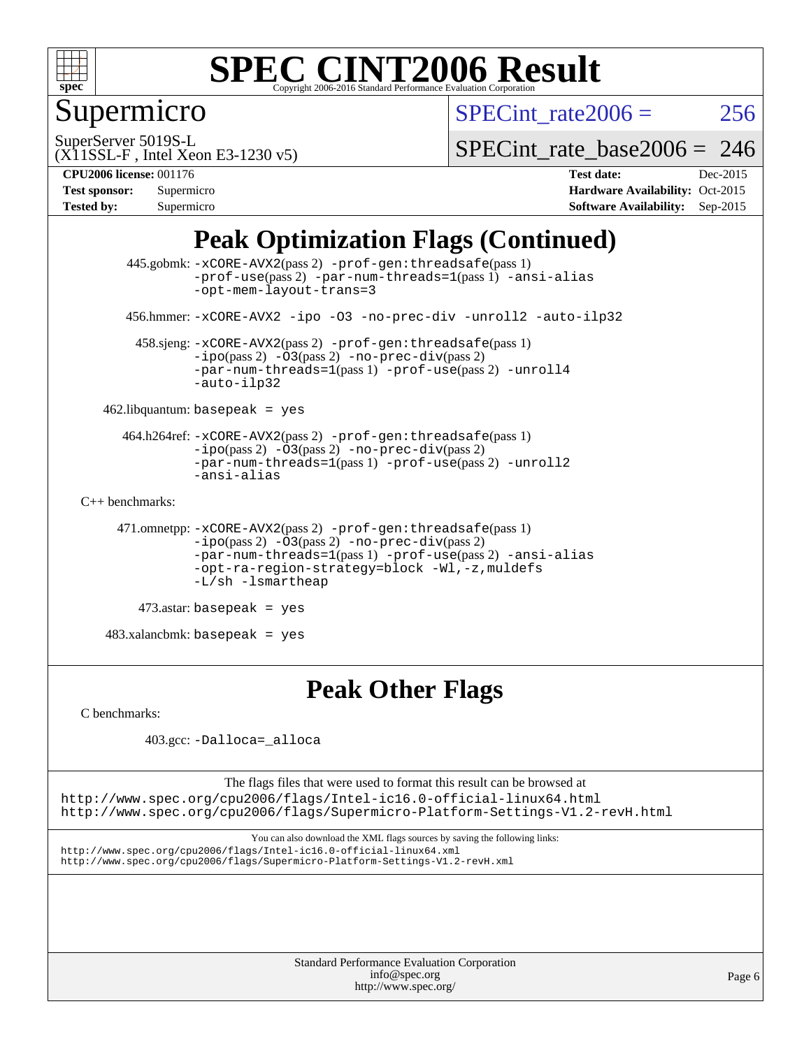

### Supermicro

SPECint rate $2006 = 256$ 

SuperServer 5019S-L

SPECint rate base  $2006 = 246$ 

#### (X11SSL-F , Intel Xeon E3-1230 v5) **[CPU2006 license:](http://www.spec.org/auto/cpu2006/Docs/result-fields.html#CPU2006license)** 001176 **[Test date:](http://www.spec.org/auto/cpu2006/Docs/result-fields.html#Testdate)** Dec-2015

| <b>Test sponsor:</b> | Supermicro |
|----------------------|------------|
| <b>Tested by:</b>    | Supermicro |

**[Hardware Availability:](http://www.spec.org/auto/cpu2006/Docs/result-fields.html#HardwareAvailability)** Oct-2015 **[Software Availability:](http://www.spec.org/auto/cpu2006/Docs/result-fields.html#SoftwareAvailability)** Sep-2015

### **[Peak Optimization Flags \(Continued\)](http://www.spec.org/auto/cpu2006/Docs/result-fields.html#PeakOptimizationFlags)**

```
 445.gobmk: -xCORE-AVX2(pass 2) -prof-gen:threadsafe(pass 1)
                -prof-use(pass 2) -par-num-threads=1(pass 1) -ansi-alias
                -opt-mem-layout-trans=3
       456.hmmer: -xCORE-AVX2 -ipo -O3 -no-prec-div -unroll2 -auto-ilp32
        458.sjeng: -xCORE-AVX2(pass 2) -prof-gen:threadsafe(pass 1)
                -i\text{po}(pass 2) -\overline{O}3(pass 2)-no-prec-div(pass 2)
                -par-num-threads=1-prof-use-unroll4
                -auto-ilp32
    462.libquantum: basepeak = yes
      464.h264ref: -xCORE-AVX2(pass 2) -prof-gen:threadsafe(pass 1)
                -ipo(pass 2) -O3(pass 2) -no-prec-div(pass 2)
               -par-num-threads=1(pass 1) -prof-use(pass 2) -unroll2
                -ansi-alias
C++ benchmarks: 
      471.omnetpp: -xCORE-AVX2(pass 2) -prof-gen:threadsafe(pass 1)
               -no-prec-div(pass 2)-par-num-threads=1(pass 1) -prof-use(pass 2) -ansi-alias
                -opt-ra-region-strategy=block -Wl,-z,muldefs
                -L/sh -lsmartheap
         473.astar: basepeak = yes
    483.xalancbmk: basepeak = yes
```
#### **[Peak Other Flags](http://www.spec.org/auto/cpu2006/Docs/result-fields.html#PeakOtherFlags)**

[C benchmarks](http://www.spec.org/auto/cpu2006/Docs/result-fields.html#Cbenchmarks):

403.gcc: [-Dalloca=\\_alloca](http://www.spec.org/cpu2006/results/res2016q1/cpu2006-20151223-38515.flags.html#b403.gcc_peakEXTRA_CFLAGS_Dalloca_be3056838c12de2578596ca5467af7f3)

The flags files that were used to format this result can be browsed at <http://www.spec.org/cpu2006/flags/Intel-ic16.0-official-linux64.html> <http://www.spec.org/cpu2006/flags/Supermicro-Platform-Settings-V1.2-revH.html>

You can also download the XML flags sources by saving the following links: <http://www.spec.org/cpu2006/flags/Intel-ic16.0-official-linux64.xml> <http://www.spec.org/cpu2006/flags/Supermicro-Platform-Settings-V1.2-revH.xml>